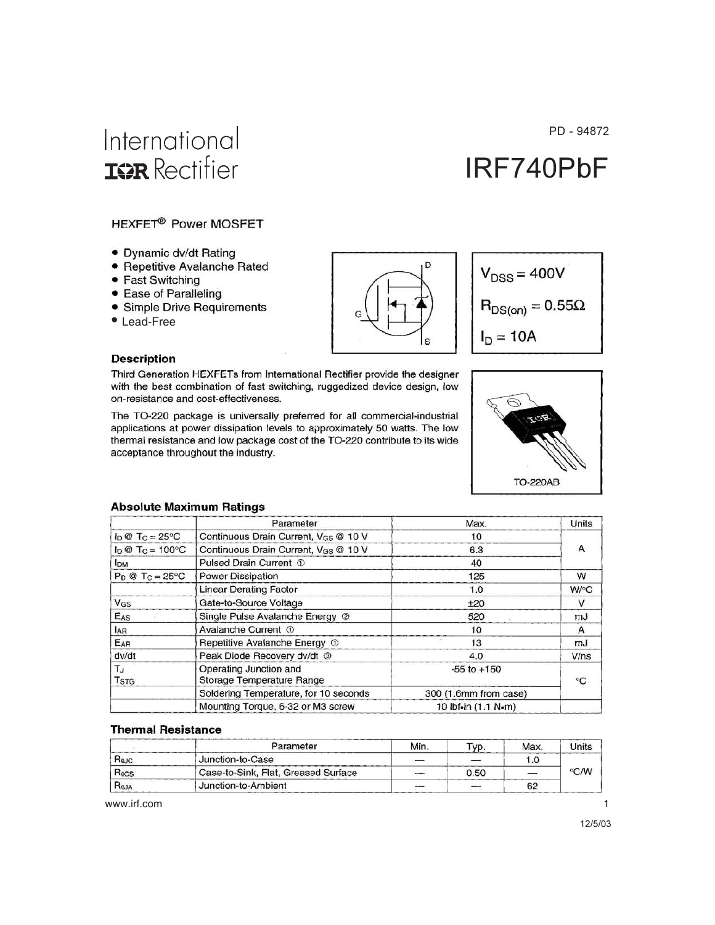#### PD - 94872

# International **IGR** Rectifier

# IRF740PbF

#### HEXFET<sup>®</sup> Power MOSFET

- Dynamic dv/dt Rating
- · Repetitive Avalanche Rated
- Fast Switching
- Ease of Paralleling
- Simple Drive Requirements
- Lead-Free





#### **Description**

Third Generation HEXFETs from International Rectifier provide the designer with the best combination of fast switching, ruggedized device design, low on-resistance and cost-effectiveness.

The TO-220 package is universally preferred for all commercial-industrial applications at power dissipation levels to approximately 50 watts. The low thermal resistance and low package cost of the TO-220 contribute to its wide acceptance throughout the industry.



#### **Absolute Maximum Ratings**

|                                  | Parameter                                           | Max.                  | Units |  |
|----------------------------------|-----------------------------------------------------|-----------------------|-------|--|
| $I_D @ T_C = 25°C$               | Continuous Drain Current, VGS @ 10 V                | 10                    |       |  |
| $I_D \otimes T_C = 100^{\circ}C$ | Continuous Drain Current, VGS @ 10 V                | 6.3                   |       |  |
| I <sub>DM</sub>                  | Pulsed Drain Current 1                              | 40                    |       |  |
| $P_D @ T_C = 25°C$               | Power Dissipation                                   | 125                   | W     |  |
|                                  | <b>Linear Derating Factor</b>                       | 1.0                   | W/°C  |  |
| VGS                              | Gate-to-Source Voltage                              | ±20                   | v     |  |
| EAS                              | Single Pulse Avalanche Energy 2                     | 520                   | mJ    |  |
| <b>JAR</b>                       | Avalanche Current 1                                 | 10                    | A     |  |
| EAR                              | Repetitive Avalanche Energy 1                       | 13                    | mJ    |  |
| dv/dt                            | Peak Diode Recovery dv/dt 3                         | 4.0                   | V/ns  |  |
| $T_J$<br><b>TSTG</b>             | Operating Junction and<br>Storage Temperature Range | $-55$ to $+150$       | °C    |  |
|                                  | Soldering Temperature, for 10 seconds               | 300 (1.6mm from case) |       |  |
|                                  | Mounting Torque, 6-32 or M3 screw                   | 10 lbf.in (1.1 N.m)   |       |  |

#### **Thermal Resistance**

|                  | Parameter                           | Min. | VD.  | <b>Max</b> | <b>Jnits</b> |  |
|------------------|-------------------------------------|------|------|------------|--------------|--|
| Rajc             | Junction-to-Case                    |      |      | 1.0        |              |  |
| $R_{0CS}$        | Case-to-Sink, Flat, Greased Surface |      | 0.50 |            | °C/W         |  |
| R <sub>BJA</sub> | 'Junction-to-Ambient                |      |      | 62         |              |  |

www.irf.com

 $\mathbf{1}$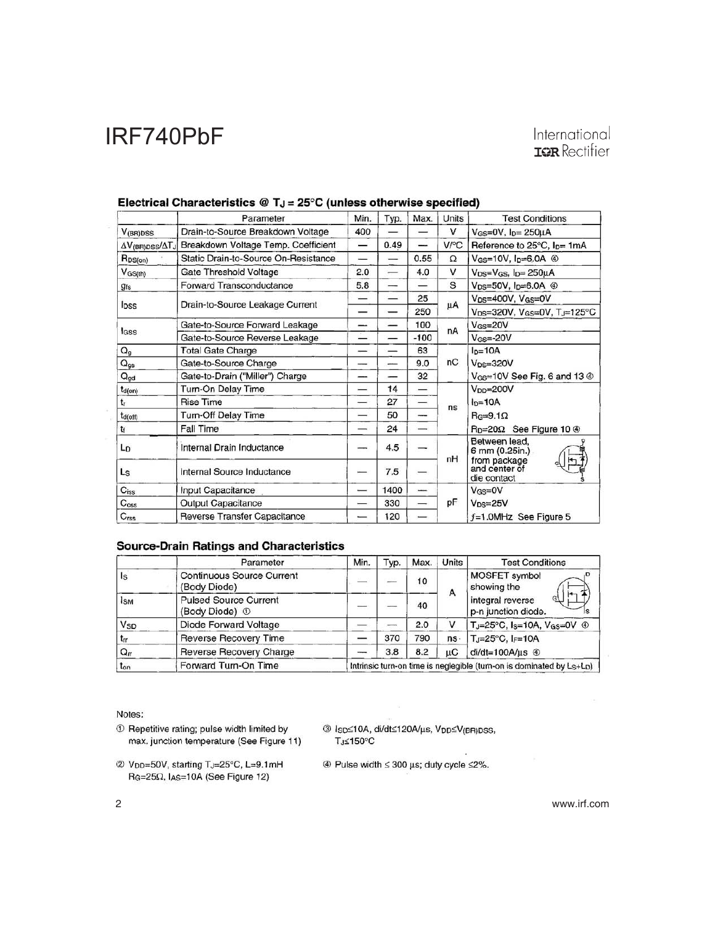### International **IQR** Rectifier

|                                        | Parameter                            | Min. | Typ. | Max.                     | Units  | <b>Test Conditions</b>                               |  |
|----------------------------------------|--------------------------------------|------|------|--------------------------|--------|------------------------------------------------------|--|
| $V_{(BR)DSS}$                          | Drain-to-Source Breakdown Voltage    | 400  |      |                          | ٧      | $V_{GS}=$ 0V, $I_{D}=$ 250 $\mu$ A                   |  |
| $\Delta V_{\text{(BR)DSS}}/\Delta T_J$ | Breakdown Voltage Temp. Coefficient  | —    | 0.49 |                          | V/°C   | Reference to $25^{\circ}$ C, $I_{D} = 1 \text{mA}$   |  |
| R <sub>DS(on)</sub>                    | Static Drain-to-Source On-Resistance |      |      | 0.55                     | Ω      | V <sub>GS</sub> =10V, $I_D=6.0A$ <sup>4</sup>        |  |
| $V$ GS(th)                             | Gate Threshold Voltage               | 2.0  |      | 4.0                      | $\vee$ | $V_{DS}=V_{GS}$ , $I_{D}=250\mu A$                   |  |
| <b>g<sub>fs</sub></b>                  | <b>Forward Transconductance</b>      | 5.8  |      |                          | S      | $V_{DS}=50V$ , $I_{D}=6.0A$ $\circledcirc$           |  |
|                                        |                                      |      |      | 25                       |        | V <sub>DS</sub> =400V, V <sub>GS</sub> =0V           |  |
| lpss                                   | Drain-to-Source Leakage Current      | –    |      | 250                      | μA     | V <sub>DS</sub> =320V, V <sub>GS</sub> =0V, TJ=125°C |  |
|                                        | Gate-to-Source Forward Leakage       | --   |      | 100                      | nA     | $V$ <sub>GS</sub> =20V                               |  |
| lass                                   | Gate-to-Source Reverse Leakage       | –    |      | $-100$                   |        | $V$ <sub>GS</sub> =-20V                              |  |
| $Q_{g}$                                | <b>Total Gate Charge</b>             |      |      | 63                       |        | $ID=10A$                                             |  |
| $Q_{gs}$                               | Gate-to-Source Charge                | --   |      | 9.0                      | nC     | $V_{DS}=320V$                                        |  |
| $Q_{gd}$                               | Gate-to-Drain ("Miller") Charge      | --   |      | 32                       |        | $V_{GS}=10V$ See Fig. 6 and 13 $\circledcirc$        |  |
| $t_{d(on)}$                            | Turn-On Delay Time                   | –    | 14   | —                        |        | $V_{DD} = 200V$                                      |  |
| $t_r$                                  | <b>Rise Time</b>                     | –    | 27   | —                        | ns     | $ln=10A$<br>$Be=9.1\Omega$                           |  |
| t <sub>d(off)</sub>                    | <b>Turn-Off Delay Time</b>           | —    | 50   | ---                      |        |                                                      |  |
| tr                                     | <b>Fall Time</b>                     | -    | 24   |                          |        | R <sub>D</sub> =20Ω See Figure 10 <sup>®</sup>       |  |
| Lo                                     | Internal Drain Inductance            | --   | 4.5  |                          | nH     | Between lead,<br>6 mm (0.25in.)                      |  |
| Ls.                                    | Internal Source Inductance           | –    | 7.5  |                          |        | from package<br>and center of<br>die contact         |  |
| $C_{iss}$                              | Input Capacitance                    |      | 1400 | $\overline{\phantom{a}}$ |        | $V_{GS}=$ OV                                         |  |
| C <sub>oss</sub>                       | <b>Output Capacitance</b>            |      | 330  |                          | рF     | $V_{DS}=25V$                                         |  |
| $C_{\text{rss}}$                       | <b>Reverse Transfer Capacitance</b>  |      | 120  |                          |        | $f=1.0$ MHz See Figure 5                             |  |

#### Electrical Characteristics @  $T_J = 25^\circ C$  (unless otherwise specified)

#### **Source-Drain Ratings and Characteristics**

|                 | Parameter                                      | Min.                                                                 | Typ. | Max. | Units        | <b>Test Conditions</b>                                      |  |
|-----------------|------------------------------------------------|----------------------------------------------------------------------|------|------|--------------|-------------------------------------------------------------|--|
| ls              | Continuous Source Current<br>(Body Diode)      |                                                                      |      | 10   |              | MOSFET symbol<br>showing the                                |  |
| <b>IsM</b>      | <b>Pulsed Source Current</b><br>(Body Diode) 1 |                                                                      |      | 40   | А            | $+$<br>G<br>integral reverse<br>p-n junction diode.         |  |
| V <sub>SD</sub> | Diode Forward Voltage                          |                                                                      |      | 2.0  | $\mathbf{v}$ | TJ=25°C, Is=10A, VGs=0V 4                                   |  |
| $t_{rr}$        | Reverse Recovery Time                          |                                                                      | 370  | 790  | ns.          | $T_J = 25^{\circ}C$ , $I_F = 10A$<br>$di/dt = 100A/\mu s$ 4 |  |
| $Q_{\text{rr}}$ | Reverse Recovery Charge                        |                                                                      | 3.8  | 8.2  | uС           |                                                             |  |
| $t_{on}$        | Forward Turn-On Time                           | Intrinsic turn-on time is neglegible (turn-on is dominated by Ls+Lp) |      |      |              |                                                             |  |

Notes:

- $\circledR$  Repetitive rating; pulse width limited by max. junction temperature (See Figure 11)
- 2 Vpp=50V, starting TJ=25°C, L=9.1mH R<sub>G</sub>=25Ω, IAs=10A (See Figure 12)

<sup>3</sup> Isp≤10A, di/dt≤120A/µs, Vpp≤V(BR)pss, TJ≤150°C

 $\circledast$  Pulse width  $\leq$  300 µs; duty cycle  $\leq$ 2%.

2 www.irf.com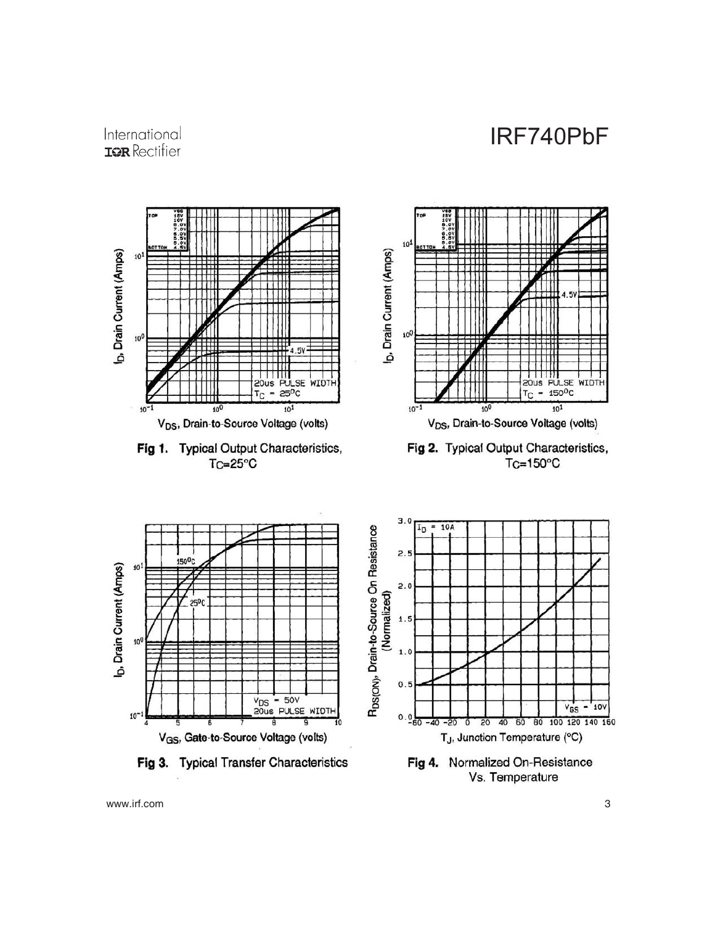

### International **IOR** Rectifier



Vs. Temperature

www.irf.com 3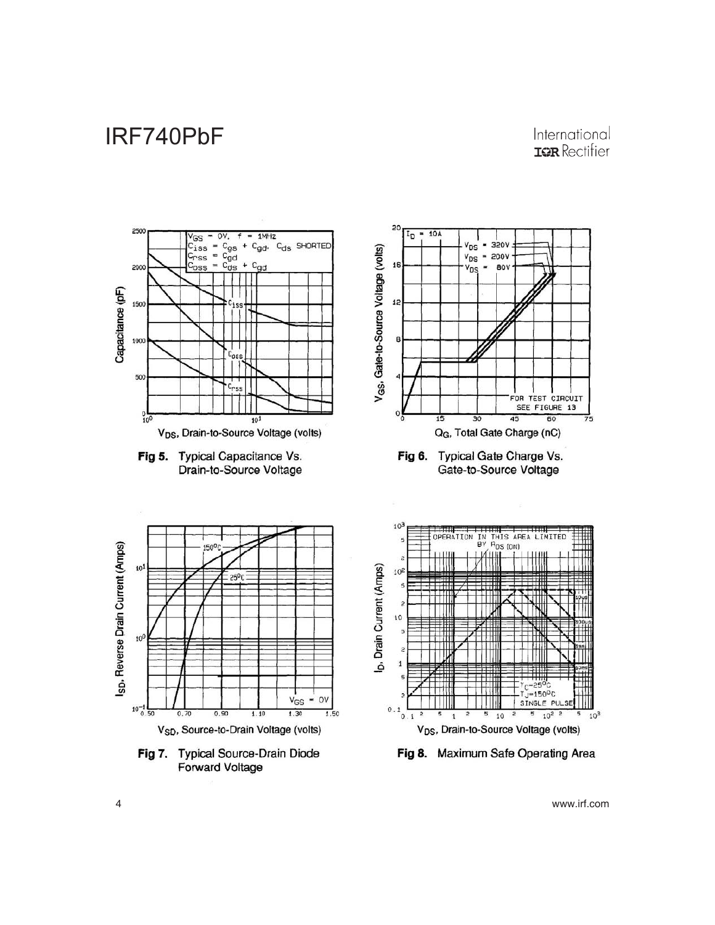### International **IOR** Rectifier



4 www.irf.com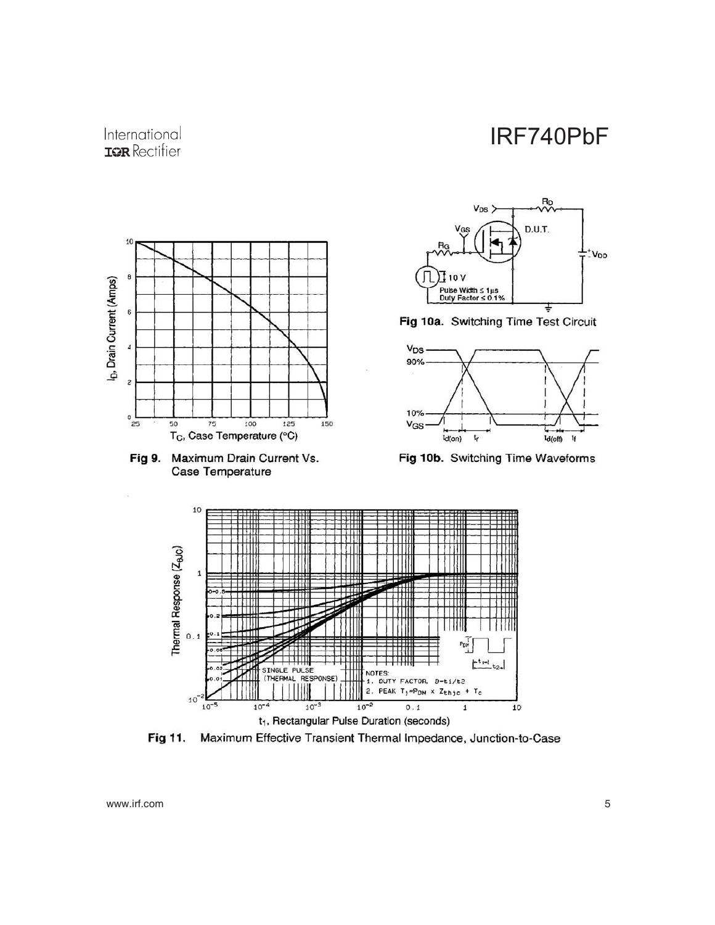Ro

 $V_{DS}$ 



 $\hat{\boldsymbol{\gamma}}$ 



Fig 11. Maximum Effective Transient Thermal Impedance, Junction-to-Case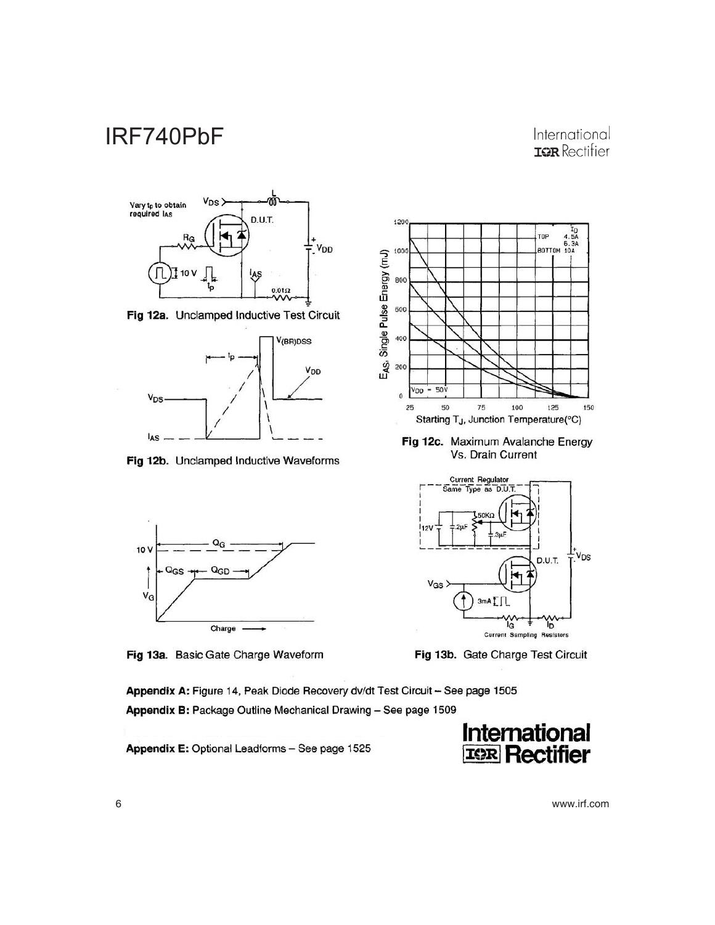### International **IOR** Rectifier



Fig 12a. Unclamped Inductive Test Circuit



Fig 12b. Unclamped Inductive Waveforms



Fig 13a. Basic Gate Charge Waveform

1200 T<sub>D</sub><br>TOP 4.5A<br>6.3A<br>BOTTOM 10A  $V_{OD} = 50V$  $\mathfrak o$ 25 50  $75$ 100 125 150 Starting T<sub>J</sub>, Junction Temperature(°C)

Fig 12c. Maximum Avalanche Energy Vs. Drain Current



Fig 13b. Gate Charge Test Circuit

Appendix A: Figure 14, Peak Diode Recovery dv/dt Test Circuit - See page 1505 Appendix B: Package Outline Mechanical Drawing - See page 1509

Appendix E: Optional Leadforms - See page 1525